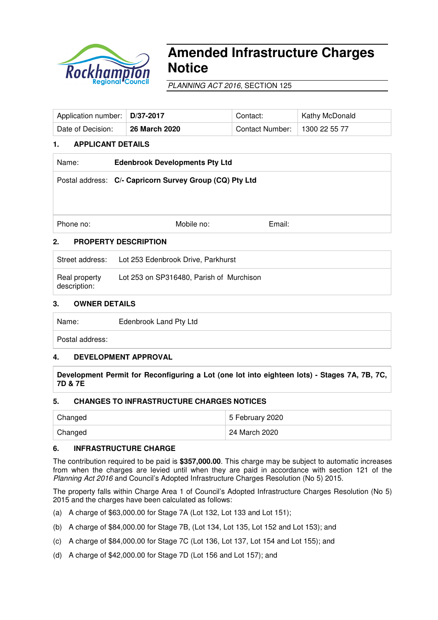

# **Amended Infrastructure Charges Notice**

PLANNING ACT 2016, SECTION 125

| Application number:   D/37-2017 |                      | Contact:        | Kathy McDonald |
|---------------------------------|----------------------|-----------------|----------------|
| Date of Decision:               | <b>26 March 2020</b> | Contact Number: | 1300 22 55 77  |

# **1. APPLICANT DETAILS**

| Name:     | <b>Edenbrook Developments Pty Ltd</b>                   |        |  |
|-----------|---------------------------------------------------------|--------|--|
|           | Postal address: C/- Capricorn Survey Group (CQ) Pty Ltd |        |  |
|           |                                                         |        |  |
|           |                                                         |        |  |
| Phone no: | Mobile no:                                              | Email: |  |
| 2.        | <b>PROPERTY DESCRIPTION</b>                             |        |  |

Street address: Lot 253 Edenbrook Drive, Parkhurst

| Real property<br>description: | Lot 253 on SP316480, Parish of Murchison |
|-------------------------------|------------------------------------------|
|-------------------------------|------------------------------------------|

### **3. OWNER DETAILS**

Name: Edenbrook Land Pty Ltd

Postal address:

### **4. DEVELOPMENT APPROVAL**

**Development Permit for Reconfiguring a Lot (one lot into eighteen lots) - Stages 7A, 7B, 7C, 7D & 7E** 

### **5. CHANGES TO INFRASTRUCTURE CHARGES NOTICES**

| Changed | 5 February 2020 |
|---------|-----------------|
| Changed | 24 March 2020   |

### **6. INFRASTRUCTURE CHARGE**

The contribution required to be paid is **\$357,000.00**. This charge may be subject to automatic increases from when the charges are levied until when they are paid in accordance with section 121 of the Planning Act 2016 and Council's Adopted Infrastructure Charges Resolution (No 5) 2015.

The property falls within Charge Area 1 of Council's Adopted Infrastructure Charges Resolution (No 5) 2015 and the charges have been calculated as follows:

- (a) A charge of \$63,000.00 for Stage 7A (Lot 132, Lot 133 and Lot 151);
- (b) A charge of \$84,000.00 for Stage 7B, (Lot 134, Lot 135, Lot 152 and Lot 153); and
- (c) A charge of \$84,000.00 for Stage 7C (Lot 136, Lot 137, Lot 154 and Lot 155); and
- (d) A charge of \$42,000.00 for Stage 7D (Lot 156 and Lot 157); and